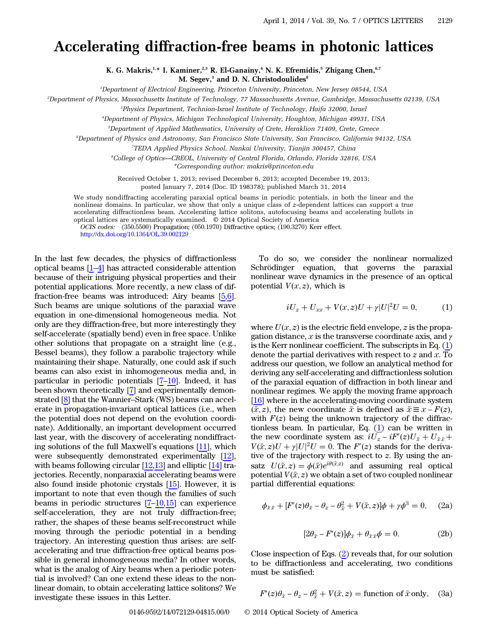## Accelerating diffraction-free beams in photonic lattices

K. G. Makris,<sup>1,\*</sup> I. Kaminer,<sup>2,3</sup> R. El-Ganainy,<sup>4</sup> N. K. Efremidis,<sup>5</sup> Zhigang Chen,<sup>6,7</sup> M. Segev,<sup>3</sup> and D. N. Christodoulides<sup>8</sup>

1 Department of Electrical Engineering, Princeton University, Princeton, New Jersey 08544, USA

2 Department of Physics, Massachusetts Institute of Technology, 77 Massachusetts Avenue, Cambridge, Massachusetts 02139, USA

<sup>3</sup>Physics Department, Technion-Israel Institute of Technology, Haifa 32000, Israel

4 Department of Physics, Michigan Technological University, Houghton, Michigan 49931, USA

5 Department of Applied Mathematics, University of Crete, Heraklion 71409, Crete, Greece

6 Department of Physics and Astronomy, San Francisco State University, San Francisco, California 94132, USA

7 TEDA Applied Physics School, Nankai University, Tianjin 300457, China

8 College of Optics*—*CREOL, University of Central Florida, Orlando, Florida 32816, USA

\*Corresponding author: makris@princeton.edu

Received October 1, 2013; revised December 6, 2013; accepted December 19, 2013;

posted January 7, 2014 (Doc. ID 198378); published March 31, 2014

We study nondiffracting accelerating paraxial optical beams in periodic potentials, in both the linear and the nonlinear domains. In particular, we show that only a unique class of z-dependent lattices can support a true accelerating diffractionless beam. Accelerating lattice solitons, autofocusing beams and accelerating bullets in optical lattices are systematically examined. © 2014 Optical Society of America

OCIS codes: (350.5500) Propagation; (050.1970) Diffractive optics; (190.3270) Kerr effect. <http://dx.doi.org/10.1364/OL.39.002129>

In the last few decades, the physics of diffractionless optical beams [\[1](#page-3-0)–[4](#page-3-1)] has attracted considerable attention because of their intriguing physical properties and their potential applications. More recently, a new class of diffraction-free beams was introduced: Airy beams [[5](#page-3-2)[,6](#page-3-3)]. Such beams are unique solutions of the paraxial wave equation in one-dimensional homogeneous media. Not only are they diffraction-free, but more interestingly they self-accelerate (spatially bend) even in free space. Unlike other solutions that propagate on a straight line (e.g., Bessel beams), they follow a parabolic trajectory while maintaining their shape. Naturally, one could ask if such beams can also exist in inhomogeneous media and, in particular in periodic potentials [\[7](#page-3-4)–[10](#page-3-5)]. Indeed, it has been shown theoretically [[7\]](#page-3-4) and experimentally demonstrated [[8\]](#page-3-6) that the Wannier–Stark (WS) beams can accelerate in propagation-invariant optical lattices (i.e., when the potential does not depend on the evolution coordinate). Additionally, an important development occurred last year, with the discovery of accelerating nondiffracting solutions of the full Maxwell's equations [[11\]](#page-3-7), which were subsequently demonstrated experimentally [\[12](#page-3-8)], with beams following circular  $[12,13]$  $[12,13]$  $[12,13]$  and elliptic  $[14]$  $[14]$  trajectories. Recently, nonparaxial accelerating beams were also found inside photonic crystals [[15\]](#page-3-11). However, it is important to note that even though the families of such beams in periodic structures [[7](#page-3-4)–[10,](#page-3-5)[15](#page-3-11)] can experience self-acceleration, they are not truly diffraction-free; rather, the shapes of these beams self-reconstruct while moving through the periodic potential in a bending trajectory. An interesting question thus arises: are selfaccelerating and true diffraction-free optical beams possible in general inhomogeneous media? In other words, what is the analog of Airy beams when a periodic potential is involved? Can one extend these ideas to the nonlinear domain, to obtain accelerating lattice solitons? We investigate these issues in this Letter.

<span id="page-0-0"></span>To do so, we consider the nonlinear normalized Schrödinger equation, that governs the paraxial nonlinear wave dynamics in the presence of an optical potential  $V(x, z)$ , which is

$$
iU_z + U_{xx} + V(x, z)U + \gamma |U|^2 U = 0,
$$
 (1)

where  $U(x, z)$  is the electric field envelope,  $z$  is the propa-<br>gation distance  $x$  is the transverse coordinate axis, and  $x$ gation distance, x is the transverse coordinate axis, and  $\gamma$ is the Kerr nonlinear coefficient. The subscripts in Eq.  $(1)$  $(1)$ denote the partial derivatives with respect to  $z$  and  $x$ . To address our question, we follow an analytical method for deriving any self-accelerating and diffractionless solution of the paraxial equation of diffraction in both linear and nonlinear regimes. We apply the moving frame approach [\[16](#page-3-12)] where in the accelerating-moving coordinate system  $\overline{(x,z)}$ , the new coordinate  $\overline{x}$  is defined as  $\overline{x} \equiv x - F(z)$ , with  $F(z)$  being the unknown trajectory of the diffracwith  $F(z)$  being the unknown trajectory of the diffractionless beam. In particular, Eq. (1) can be written in tionless beam. In particular, Eq.  $(1)$  $(1)$  can be written in the new coordinate system as:  $iU_z - iF'(z)U_{\bar{x}} + U_{\bar{x}\bar{x}} + V(\bar{x}z)U_{\bar{x}} + V(\bar{x}z)U_{\bar{x}} + V(\bar{x}z)U_{\bar{x}} + V(\bar{x}z)U_{\bar{x}}$  $V(\bar{x}, z)U + \gamma |U|^2 U = 0$ . The  $F'(z)$  stands for the deriva-<br>tive of the trajectory with respect to z. By using the antive of the trajectory with respect to  $z$ . By using the ansatz  $U(\bar{x}, z) = \phi(\bar{x})e^{i\theta(\bar{x}, z)}$  and assuming real optical<br>potential  $V(\bar{x}, z)$  we obtain a set of two coupled poplinear potential  $V(\bar{x}, z)$  we obtain a set of two coupled nonlinear<br>partial differential equations: partial differential equations:

<span id="page-0-4"></span><span id="page-0-1"></span>
$$
\phi_{\bar{x}\bar{x}} + [F'(z)\theta_{\bar{x}} - \theta_z - \theta_{\bar{x}}^2 + V(\bar{x}, z)]\phi + \gamma\phi^3 = 0, \quad (2a)
$$

$$
[2\theta_{\bar{x}} - F'(z)]\phi_{\bar{x}} + \theta_{\bar{x}\bar{x}}\phi = 0.
$$
 (2b)

<span id="page-0-3"></span><span id="page-0-2"></span>Close inspection of Eqs. [\(2](#page-0-1)) reveals that, for our solution to be diffractionless and accelerating, two conditions must be satisfied:

$$
F'(z)\theta_{\bar{x}} - \theta_z - \theta_{\bar{x}}^2 + V(\bar{x}, z) = \text{function of } \bar{x} \text{ only}, \quad \text{(3a)}
$$

0146-9592/14/072129-04\$15.00/0 © 2014 Optical Society of America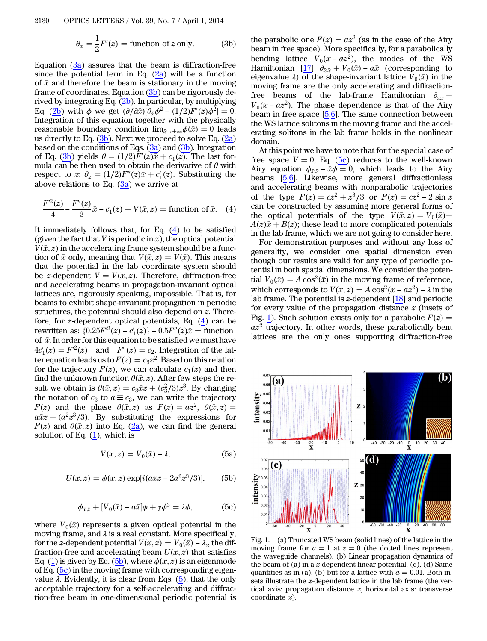$$
\theta_{\bar{x}} = \frac{1}{2}F'(z) = \text{function of } z \text{ only.} \tag{3b}
$$

Equation  $(3a)$  $(3a)$  assures that the beam is diffraction-free since the potential term in Eq.  $(2a)$  $(2a)$  will be a function of  $\bar{x}$  and therefore the beam is stationary in the moving frame of coordinates. Equation ([3b](#page-0-3)) can be rigorously derived by integrating Eq.  $(2b)$  $(2b)$  $(2b)$ . In particular, by multiplying Eq. [\(2b\)](#page-0-4) with  $\phi$  we get  $(\partial/\partial \bar{x})[\theta_{\bar{x}}\phi^2 - (1/2)\bar{F}'(z)\phi^2] = 0$ .<br>Integration of this equation together with the physically Integration of this equation together with the physically reasonable boundary condition  $\lim_{\bar{x}\to\pm\infty}\phi(\bar{x})=0$  leads<br>us directly to Eq. (3b). Next we proceed to solve Eq. (2a) us directly to Eq.  $(3b)$  $(3b)$  $(3b)$ . Next we proceed to solve Eq.  $(2a)$  $(2a)$ based on the conditions of Eqs.  $(3a)$  $(3a)$  and  $(3b)$ . Integration of Eq. ([3b](#page-0-3)) yields  $\theta = (1/2)F'(z)\overline{x} + c_1(z)$ . The last for-<br>mula can be then used to obtain the derivative of  $\theta$  with mula can be then used to obtain the derivative of  $\theta$  with respect to z:  $\theta_z = (1/2)F''(z)\bar{x} + c'_1(z)$ . Substituting the above relations to Eq. (3a) we arrive at above relations to Eq.  $(3a)$  $(3a)$  we arrive at

<span id="page-1-0"></span>
$$
\frac{F'^{2}(z)}{4} - \frac{F''(z)}{2}\bar{x} - c'_{1}(z) + V(\bar{x}, z) = \text{function of } \bar{x}. \tag{4}
$$

It immediately follows that, for Eq.  $(4)$  $(4)$  to be satisfied (given the fact that V is periodic in x), the optical potential  $V(\bar{x}, z)$  in the accelerating frame system should be a function of  $\bar{x}$  only meaning that  $V(\bar{x}, z) = V(\bar{x})$ . This means tion of  $\bar{x}$  only, meaning that  $V(\bar{x}, z) = V(\bar{x})$ . This means<br>that the potential in the lab coordinate system should that the potential in the lab coordinate system should be *z*-dependent  $V = V(x, z)$ . Therefore, diffraction-free<br>and accelerating beams in propagation-invariant optical and accelerating beams in propagation-invariant optical lattices are, rigorously speaking, impossible. That is, for beams to exhibit shape-invariant propagation in periodic structures, the potential should also depend on z. Therefore, for z-dependent optical potentials, Eq. [\(4](#page-1-0)) can be rewritten as:  $\{0.25F'^2(z) - c'_1(z)\} - 0.5F''(z)\overline{x} =$  function<br>of  $\overline{x}$ . In order for this equation to be satisfied we must have of  $\bar{x}$ . In order for this equation to be satisfied we must have  $4c'_1(z) = F'^2(z)$  and  $F''(z) = c_2$ . Integration of the lat-<br>tengoustion loads us to  $F(z) = c_2 z^2$ . Based on this relation ter equation leads us to  $F(z) = c_3 z^2$ . Based on this relation<br>for the trajectory  $F(z)$  we can calculate  $c_3(z)$  and then for the trajectory  $F(z)$ , we can calculate  $c_1(z)$  and then<br>find the unknown function  $\theta(\bar{x}, z)$ . After few steps the refind the unknown function  $\theta(\bar{x}, z)$ . After few steps the re-<br>sult we obtain is  $\theta(\bar{x}, z) = c_2 \bar{x} z + (c^2/3) z^3$ . By changing sult we obtain is  $\theta(\bar{x}, z) = c_3 \bar{x}z + (c_3^2/3)z^3$ . By changing the notation of  $c_2$  to  $a \equiv c_3$  we can write the trajectory the notation of  $c_3$  to  $a \equiv c_3$ , we can write the trajectory  $F(z)$  and the phase  $\theta(\bar{x}, z)$  as  $F(z) = az^2$ ,  $\theta(\bar{x}, z)$ <br> $a\bar{x}z + (a^2z^3/3)$ . By substituting the expressions  $a\bar{x}z + (a^2z^3/3)$ . By substituting the expressions for<br> $F(z)$  and  $\theta(\bar{x} z)$  into Eq. (2a) we can find the general  $F(z)$  and  $\theta(\bar{x}, z)$  into Eq. [\(2a](#page-0-1)), we can find the general solution of Eq. (1) which is solution of Eq.  $(1)$  $(1)$ , which is

$$
V(x, z) = V_0(\bar{x}) - \lambda,
$$
 (5a)

<span id="page-1-3"></span><span id="page-1-2"></span><span id="page-1-1"></span>
$$
U(x, z) = \phi(x, z) \exp[i(axz - 2a^2z^3/3)],
$$
 (5b)

$$
\phi_{\bar{x}\bar{x}} + [V_0(\bar{x}) - a\bar{x}]\phi + \gamma\phi^3 = \lambda\phi,
$$
 (5c)

where  $V_0(\bar{x})$  represents a given optical potential in the moving frame and  $\lambda$  is a real constant. More specifically moving frame, and  $\lambda$  is a real constant. More specifically, for the z-dependent potential  $V(x, z) = V_0(\bar{x}) - \lambda$ , the dif-<br>fraction-free and accelerating beam  $U(x, z)$  that satisfies fraction-free and accelerating beam  $U(x, z)$  that satisfies<br>Eq. (1) is given by Eq. (5b), where  $\phi(x, z)$  is an eigenmode Eq. [\(1](#page-0-0)) is given by Eq. [\(5b\)](#page-1-1), where  $\phi(x, z)$  is an eigenmode<br>of Eq. (5c) in the moving frame with corresponding eigenof Eq.  $(5c)$  $(5c)$  in the moving frame with corresponding eigenvalue  $\lambda$ . Evidently, it is clear from Eqs. [\(5](#page-1-3)), that the only acceptable trajectory for a self-accelerating and diffraction-free beam in one-dimensional periodic potential is

the parabolic one  $F(z) = az^2$  (as in the case of the Airy<br>beam in free space). More specifically, for a parabolically beam in free space). More specifically, for a parabolically bending lattice  $V_0(x - \alpha z^2)$ , the modes of the WS<br>Hamiltonian [17]  $\partial_{zz} + V_0(\bar{x}) - \alpha \bar{x}$  (corresponding to Hamiltonian  $[\underline{17} \quad \overrightarrow{\partial_{\bar{x} \bar{x}}} + V_0(\bar{x}) - a\bar{x}$  (corresponding to eigenvalue i) of the shape-invariant lattice  $V_0(\bar{x})$  in the eigenvalue  $\lambda$ ) of the shape-invariant lattice  $V_0(\bar{x})$  in the moving frame are the only accelerating and diffractionmoving frame are the only accelerating and diffractionfree beams of the lab-frame Hamiltonian  $\partial_{xx}$  +  $V_0(x - az^2)$ . The phase dependence is that of the Airy beam in free space [5.6]. The same connection between beam in free space  $[5,6]$  $[5,6]$  $[5,6]$ . The same connection between the WS lattice solitons in the moving frame and the accelerating solitons in the lab frame holds in the nonlinear domain.

At this point we have to note that for the special case of free space  $V = 0$ , Eq. ([5c\)](#page-1-2) reduces to the well-known Airy equation  $\phi_{\bar{x}\bar{x}} - \bar{x}\phi = 0$ , which leads to the Airy beams [\[5](#page-3-2),[6\]](#page-3-3). Likewise, more general diffractionless and accelerating beams with nonparabolic trajectories of the type  $F(z) = cz^2 + z^3/3$  or  $F(z) = cz^2 - 2 \sin z$ <br>can be constructed by assuming more general forms of can be constructed by assuming more general forms of the optical potentials of the type  $V(\bar{x}, z) = V_0(\bar{x})$ <br> $A(z)\bar{x} + B(z)$ ; these lead to more complicated potential  $A(z)\bar{x} + B(z)$ ; these lead to more complicated potentials<br>in the lab frame which we are not going to consider here in the lab frame, which we are not going to consider here.

For demonstration purposes and without any loss of generality, we consider one spatial dimension even though our results are valid for any type of periodic potential in both spatial dimensions. We consider the potential  $V_0(\bar{x}) = A \cos^2(\bar{x})$  in the moving frame of reference,<br>which corresponds to  $V(x, \bar{x}) = A \cos^2(x - \bar{x})^2 - \lambda$  in the which corresponds to  $V(x, z) = A \cos^2(x - az^2) - \lambda$  in the lab frame. The potential is z-dependent [18] and periodic lab frame. The potential is  $z$ -dependent [[18\]](#page-3-14) and periodic for every value of the propagation distance  $z$  (insets of Fig. [1](#page-1-4)). Such solution exists only for a parabolic  $F(z)$  =  $\frac{a_2^2}{2}$  trajectory. In other words, these parabolically bent lattices are the only ones supporting diffraction-free

<span id="page-1-4"></span>

Fig. 1. (a) Truncated WS beam (solid lines) of the lattice in the moving frame for  $a = 1$  at  $z = 0$  (the dotted lines represent the waveguide channels). (b) Linear propagation dynamics of the beam of  $(a)$  in a z-dependent linear potential.  $(c)$ ,  $(d)$  Same quantities as in (a), (b) but for a lattice with  $a = 0.01$ . Both insets illustrate the z-dependent lattice in the lab frame (the vertical axis: propagation distance z, horizontal axis: transverse coordinate  $x$ ).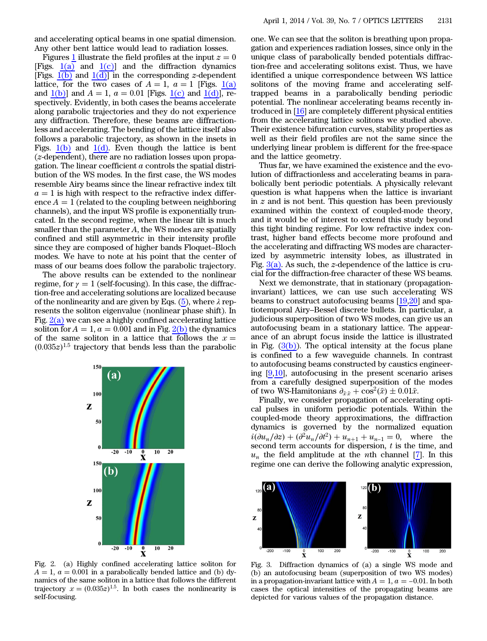and accelerating optical beams in one spatial dimension. Any other bent lattice would lead to radiation losses.

Figures [1](#page-1-4) illustrate the field profiles at the input  $z = 0$ [Figs.  $1(a)$  and  $1(c)$ ] and the diffraction dynamics [Figs.  $1(b)$  and  $1(d)$ ] in the corresponding *z*-dependent lattice, for the two cases of  $A = 1$ ,  $a = 1$  [Figs. [1\(a\)](#page-1-4) and  $1(b)$ ] and  $A = 1$ ,  $a = 0.01$  [Figs. [1\(c\)](#page-1-4) and  $1(d)$ ], respectively. Evidently, in both cases the beams accelerate along parabolic trajectories and they do not experience any diffraction. Therefore, these beams are diffractionless and accelerating. The bending of the lattice itself also follows a parabolic trajectory, as shown in the insets in Figs.  $1(b)$  and  $1(d)$ . Even though the lattice is bent (z-dependent), there are no radiation losses upon propagation. The linear coefficient  $\alpha$  controls the spatial distribution of the WS modes. In the first case, the WS modes resemble Airy beams since the linear refractive index tilt  $a = 1$  is high with respect to the refractive index difference  $A = 1$  (related to the coupling between neighboring channels), and the input WS profile is exponentially truncated. In the second regime, when the linear tilt is much smaller than the parameter A, the WS modes are spatially confined and still asymmetric in their intensity profile since they are composed of higher bands Floquet–Bloch modes. We have to note at his point that the center of mass of our beams does follow the parabolic trajectory.

The above results can be extended to the nonlinear regime, for  $\gamma = 1$  (self-focusing). In this case, the diffraction-free and accelerating solutions are localized because of the nonlinearity and are given by Eqs.  $(5)$  $(5)$ , where  $\lambda$  represents the soliton eigenvalue (nonlinear phase shift). In Fig.  $2(a)$  we can see a highly confined accelerating lattice soliton for  $A = 1$ ,  $a = 0.001$  and in Fig. [2\(b\)](#page-2-0) the dynamics of the same soliton in a lattice that follows the  $x =$  $(0.035z)^{1.5}$  trajectory that bends less than the parabolic

<span id="page-2-0"></span>

Fig. 2. (a) Highly confined accelerating lattice soliton for  $A = 1$ ,  $a = 0.001$  in a parabolically bended lattice and (b) dynamics of the same soliton in a lattice that follows the different trajectory  $x = (0.035z)^{1.5}$ . In both cases the nonlinearity is self-focusing self-focusing.

one. We can see that the soliton is breathing upon propagation and experiences radiation losses, since only in the unique class of parabolically bended potentials diffraction-free and accelerating solitons exist. Thus, we have identified a unique correspondence between WS lattice solitons of the moving frame and accelerating selftrapped beams in a parabolically bending periodic potential. The nonlinear accelerating beams recently introduced in [\[16](#page-3-12)] are completely different physical entities from the accelerating lattice solitons we studied above. Their existence bifurcation curves, stability properties as well as their field profiles are not the same since the underlying linear problem is different for the free-space and the lattice geometry.

Thus far, we have examined the existence and the evolution of diffractionless and accelerating beams in parabolically bent periodic potentials. A physically relevant question is what happens when the lattice is invariant in  $z$  and is not bent. This question has been previously examined within the context of coupled-mode theory, and it would be of interest to extend this study beyond this tight binding regime. For low refractive index contrast, higher band effects become more profound and the accelerating and diffracting WS modes are characterized by asymmetric intensity lobes, as illustrated in Fig.  $3(a)$ . As such, the *z*-dependence of the lattice is crucial for the diffraction-free character of these WS beams.

Next we demonstrate, that in stationary (propagationinvariant) lattices, we can use such accelerating WS beams to construct autofocusing beams [[19,](#page-3-15)[20](#page-3-16)] and spatiotemporal Airy–Bessel discrete bullets. In particular, a judicious superposition of two WS modes, can give us an autofocusing beam in a stationary lattice. The appearance of an abrupt focus inside the lattice is illustrated in Fig.  $(3(b))$ . The optical intensity at the focus plane is confined to a few waveguide channels. In contrast to autofocusing beams constructed by caustics engineering  $[9,10]$  $[9,10]$  $[9,10]$ , autofocusing in the present scenario arises from a carefully designed superposition of the modes of two WS-Hamitonians  $\partial_{\bar{x}\bar{x}} + \cos^2(\bar{x}) \pm 0.01\bar{x}$ .<br>Finally we consider propagation of accelera

Finally, we consider propagation of accelerating optical pulses in uniform periodic potentials. Within the coupled-mode theory approximations, the diffraction dynamics is governed by the normalized equation  $i(\partial u_n/\partial z) + (\partial^2 u_n/\partial t^2) + u_{n+1} + u_{n-1} = 0$ , where the second term accounts for dispersion t is the time and second term accounts for dispersion, t is the time, and  $u_n$  the field amplitude at the *n*th channel [[7\]](#page-3-4). In this regime one can derive the following analytic expression,

<span id="page-2-1"></span>

Fig. 3. Diffraction dynamics of (a) a single WS mode and (b) an autofocusing beam (superposition of two WS modes) in a propagation-invariant lattice with  $A = 1$ ,  $a = -0.01$ . In both cases the optical intensities of the propagating beams are depicted for various values of the propagation distance.